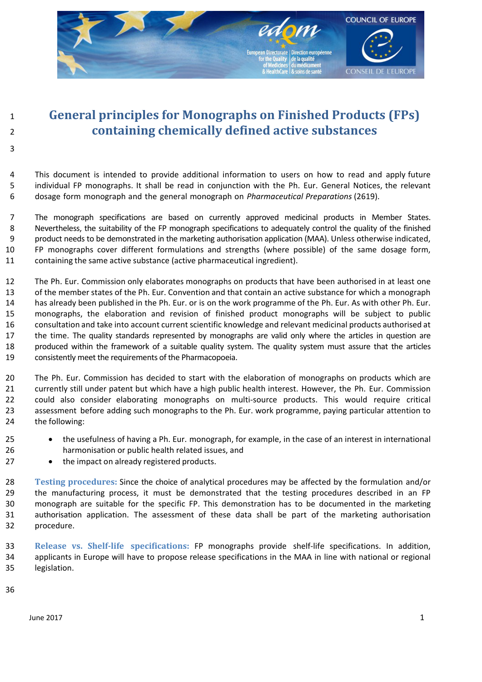

# <sup>1</sup>**General principles for Monographs on Finished Products (FPs)**  <sup>2</sup>**containing chemically defined active substances**

4 This document is intended to provide additional information to users on how to read and apply future 5 individual FP monographs. It shall be read in conjunction with the Ph. Eur. General Notices, the relevant 6 dosage form monograph and the general monograph on *Pharmaceutical Preparations* (2619).

7 The monograph specifications are based on currently approved medicinal products in Member States. 8 Nevertheless, the suitability of the FP monograph specifications to adequately control the quality of the finished 9 product needs to be demonstrated in the marketing authorisation application (MAA). Unless otherwise indicated, 10 FP monographs cover different formulations and strengths (where possible) of the same dosage form, 11 containing the same active substance (active pharmaceutical ingredient).

12 The Ph. Eur. Commission only elaborates monographs on products that have been authorised in at least one 13 of the member states of the Ph. Eur. Convention and that contain an active substance for which a monograph 14 has already been published in the Ph. Eur. or is on the work programme of the Ph. Eur. As with other Ph. Eur. 15 monographs, the elaboration and revision of finished product monographs will be subject to public 16 consultation and take into account current scientific knowledge and relevant medicinal products authorised at 17 the time. The quality standards represented by monographs are valid only where the articles in question are 18 produced within the framework of a suitable quality system. The quality system must assure that the articles 19 consistently meet the requirements of the Pharmacopoeia.

20 The Ph. Eur. Commission has decided to start with the elaboration of monographs on products which are 21 currently still under patent but which have a high public health interest. However, the Ph. Eur. Commission 22 could also consider elaborating monographs on multi-source products. This would require critical 23 assessment before adding such monographs to the Ph. Eur. work programme, paying particular attention to 24 the following:

- 25 the usefulness of having a Ph. Eur. monograph, for example, in the case of an interest in international 26 harmonisation or public health related issues, and
- 27 the impact on already registered products.

28 **Testing procedures:** Since the choice of analytical procedures may be affected by the formulation and/or 29 the manufacturing process, it must be demonstrated that the testing procedures described in an FP 30 monograph are suitable for the specific FP. This demonstration has to be documented in the marketing 31 authorisation application. The assessment of these data shall be part of the marketing authorisation 32 procedure.

33 **Release vs. Shelf-life specifications:** FP monographs provide shelf-life specifications. In addition, 34 applicants in Europe will have to propose release specifications in the MAA in line with national or regional 35 legislation.

36

3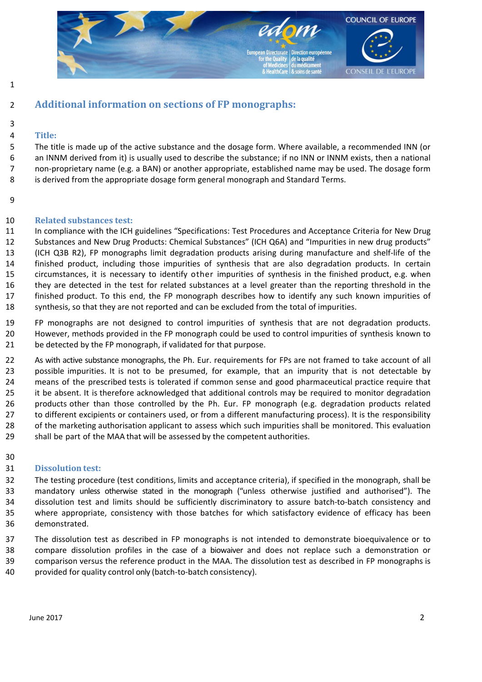

1

# 2 **Additional information on sections of FP monographs:**

#### 3 4 **Title:**

5 The title is made up of the active substance and the dosage form. Where available, a recommended INN (or 6 an INNM derived from it) is usually used to describe the substance; if no INN or INNM exists, then a national 7 non-proprietary name (e.g. a BAN) or another appropriate, established name may be used. The dosage form 8 is derived from the appropriate dosage form general monograph and Standard Terms.

9

### 10 **Related substances test:**

11 In compliance with the ICH guidelines "Specifications: Test Procedures and Acceptance Criteria for New Drug 12 Substances and New Drug Products: Chemical Substances" (ICH Q6A) and "Impurities in new drug products" 13 (ICH Q3B R2), FP monographs limit degradation products arising during manufacture and shelf-life of the 14 finished product, including those impurities of synthesis that are also degradation products. In certain 15 circumstances, it is necessary to identify other impurities of synthesis in the finished product, e.g. when 16 they are detected in the test for related substances at a level greater than the reporting threshold in the 17 finished product. To this end, the FP monograph describes how to identify any such known impurities of 18 synthesis, so that they are not reported and can be excluded from the total of impurities.

19 FP monographs are not designed to control impurities of synthesis that are not degradation products. 20 However, methods provided in the FP monograph could be used to control impurities of synthesis known to 21 be detected by the FP monograph, if validated for that purpose.

22 As with active substance monographs, the Ph. Eur. requirements for FPs are not framed to take account of all 23 possible impurities. It is not to be presumed, for example, that an impurity that is not detectable by 24 means of the prescribed tests is tolerated if common sense and good pharmaceutical practice require that 25 it be absent. It is therefore acknowledged that additional controls may be required to monitor degradation 26 products other than those controlled by the Ph. Eur. FP monograph (e.g. degradation products related 27 to different excipients or containers used, or from a different manufacturing process). It is the responsibility 28 of the marketing authorisation applicant to assess which such impurities shall be monitored. This evaluation 29 shall be part of the MAA that will be assessed by the competent authorities.

30

## 31 **Dissolution test:**

32 The testing procedure (test conditions, limits and acceptance criteria), if specified in the monograph, shall be 33 mandatory unless otherwise stated in the monograph ("unless otherwise justified and authorised"). The 34 dissolution test and limits should be sufficiently discriminatory to assure batch-to-batch consistency and 35 where appropriate, consistency with those batches for which satisfactory evidence of efficacy has been 36 demonstrated.

37 The dissolution test as described in FP monographs is not intended to demonstrate bioequivalence or to 38 compare dissolution profiles in the case of a biowaiver and does not replace such a demonstration or 39 comparison versus the reference product in the MAA. The dissolution test as described in FP monographs is 40 provided for quality control only (batch-to-batch consistency).